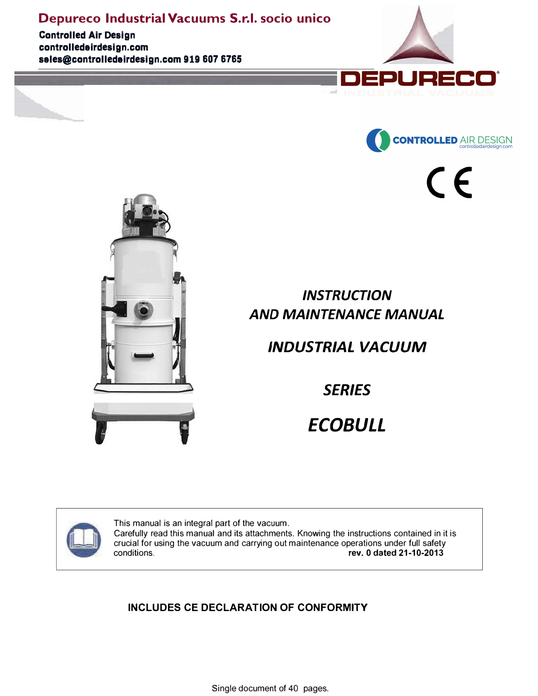**Controlled Air Design controlledairdesign.com sales@controlledairdesign.com 919 607 6765**





 $\epsilon$ 



# *INSTRUCTION AND MAINTENANCE MANUAL*

# *INDUSTRIAL VACUUM*

*SERIES* 

# *ECOBULL*



This manual is an integral part of the vacuum. Carefully read this manual and its attachments. Knowing the instructions contained in it is crucial for using the vacuum and carrying out maintenance operations under full safety<br>conditions.<br>**The v. 0 dated 21-10-2013** conditions. **rev. 0 dated 21-10-2013**

### **INCLUDES CE DECLARATION OF CONFORMITY**

Single document of 40 pages.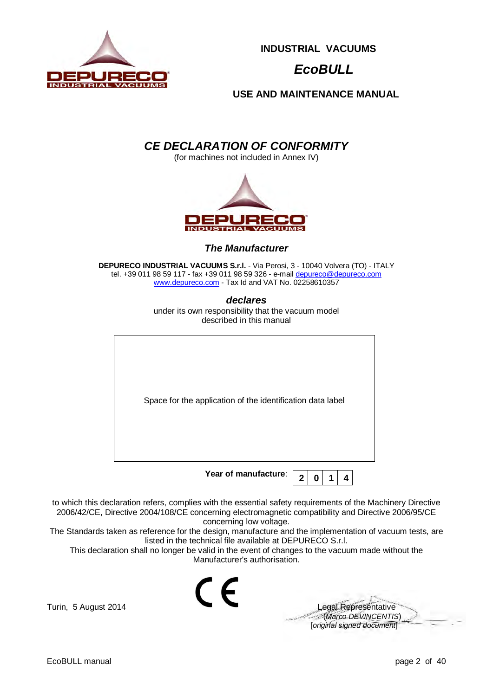

# *EcoBULL*

**USE AND MAINTENANCE MANUAL**

### *CE DECLARATION OF CONFORMITY*

(for machines not included in Annex IV)



*The Manufacturer* 

**DEPURECO INDUSTRIAL VACUUMS S.r.l.** - Via Perosi, 3 - 10040 Volvera (TO) - ITALY tel. +39 011 98 59 117 - fax +39 011 98 59 326 - e-mail depureco@depureco.com www.depureco.com - Tax Id and VAT No. 02258610357

> *declares*  under its own responsibility that the vacuum model described in this manual

| Space for the application of the identification data label |
|------------------------------------------------------------|
| Year of manufacture:<br>O                                  |

to which this declaration refers, complies with the essential safety requirements of the Machinery Directive 2006/42/CE, Directive 2004/108/CE concerning electromagnetic compatibility and Directive 2006/95/CE concerning low voltage.

The Standards taken as reference for the design, manufacture and the implementation of vacuum tests, are listed in the technical file available at DEPURECO S.r.l.

This declaration shall no longer be valid in the event of changes to the vacuum made without the Manufacturer's authorisation.

 $\overline{6}$ 

Turin, 5 August 2014 **Legal Representative**  (*Marco DEVINCENTIS*) [*original signed document*]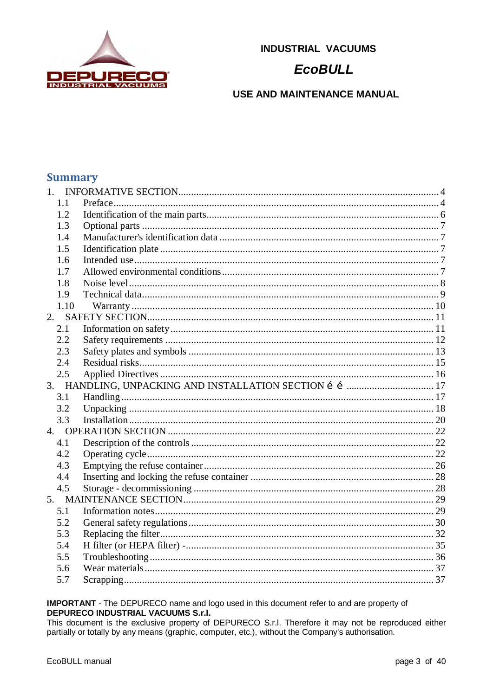

### **EcoBULL**

USE AND MAINTENANCE MANUAL

### **Summary**

| 1.1  |  |
|------|--|
| 1.2  |  |
| 1.3  |  |
| 1.4  |  |
| 1.5  |  |
| 1.6  |  |
| 1.7  |  |
| 1.8  |  |
| 1.9  |  |
| 1.10 |  |
|      |  |
| 2.1  |  |
| 2.2  |  |
| 2.3  |  |
| 2.4  |  |
| 2.5  |  |
|      |  |
| 3.1  |  |
| 3.2  |  |
| 3.3  |  |
|      |  |
| 4.1  |  |
| 4.2  |  |
| 4.3  |  |
| 4.4  |  |
| 4.5  |  |
|      |  |
| 5.1  |  |
| 5.2  |  |
| 5.3  |  |
| 5.4  |  |
| 5.5  |  |
| 5.6  |  |
| 5.7  |  |

#### **IMPORTANT** - The DEPURECO name and logo used in this document refer to and are property of DEPURECO INDUSTRIAL VACUUMS S.r.I.

This document is the exclusive property of DEPURECO S.r.l. Therefore it may not be reproduced either partially or totally by any means (graphic, computer, etc.), without the Company's authorisation.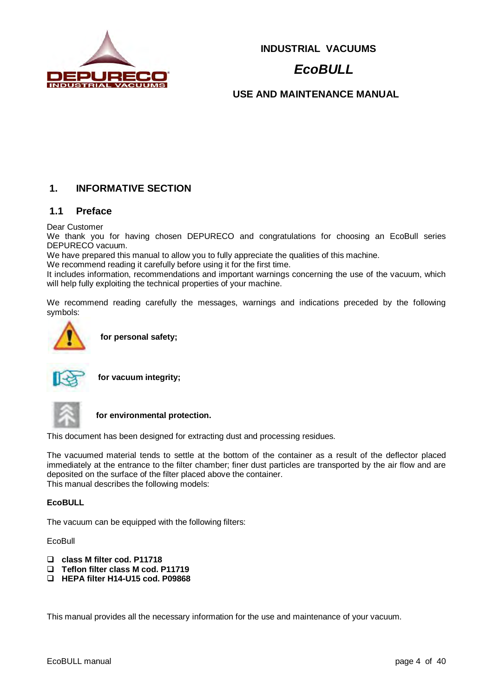

# *EcoBULL*

**USE AND MAINTENANCE MANUAL**

### **1. INFORMATIVE SECTION**

#### **1.1 Preface**

Dear Customer

We thank you for having chosen DEPURECO and congratulations for choosing an EcoBull series DEPURECO vacuum.

We have prepared this manual to allow you to fully appreciate the qualities of this machine.

We recommend reading it carefully before using it for the first time.

It includes information, recommendations and important warnings concerning the use of the vacuum, which will help fully exploiting the technical properties of your machine.

We recommend reading carefully the messages, warnings and indications preceded by the following symbols:



**for personal safety;** 



**for vacuum integrity;**



**for environmental protection.** 

This document has been designed for extracting dust and processing residues.

The vacuumed material tends to settle at the bottom of the container as a result of the deflector placed immediately at the entrance to the filter chamber; finer dust particles are transported by the air flow and are deposited on the surface of the filter placed above the container. This manual describes the following models:

#### **EcoBULL**

The vacuum can be equipped with the following filters:

EcoBull

- **class M filter cod. P11718**
- **Teflon filter class M cod. P11719**
- **HEPA filter H14-U15 cod. P09868**

This manual provides all the necessary information for the use and maintenance of your vacuum.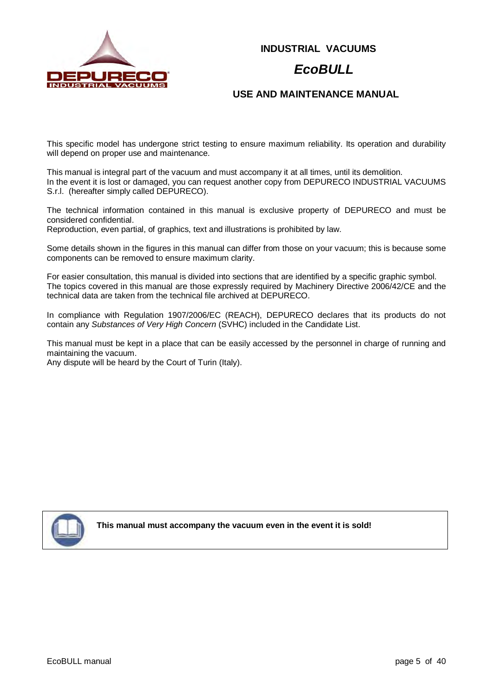

### *EcoBULL*

#### **USE AND MAINTENANCE MANUAL**

This specific model has undergone strict testing to ensure maximum reliability. Its operation and durability will depend on proper use and maintenance.

This manual is integral part of the vacuum and must accompany it at all times, until its demolition. In the event it is lost or damaged, you can request another copy from DEPURECO INDUSTRIAL VACUUMS S.r.l. (hereafter simply called DEPURECO).

The technical information contained in this manual is exclusive property of DEPURECO and must be considered confidential.

Reproduction, even partial, of graphics, text and illustrations is prohibited by law.

Some details shown in the figures in this manual can differ from those on your vacuum; this is because some components can be removed to ensure maximum clarity.

For easier consultation, this manual is divided into sections that are identified by a specific graphic symbol. The topics covered in this manual are those expressly required by Machinery Directive 2006/42/CE and the technical data are taken from the technical file archived at DEPURECO.

In compliance with Regulation 1907/2006/EC (REACH), DEPURECO declares that its products do not contain any *Substances of Very High Concern* (SVHC) included in the Candidate List.

This manual must be kept in a place that can be easily accessed by the personnel in charge of running and maintaining the vacuum.

Any dispute will be heard by the Court of Turin (Italy).



**This manual must accompany the vacuum even in the event it is sold!**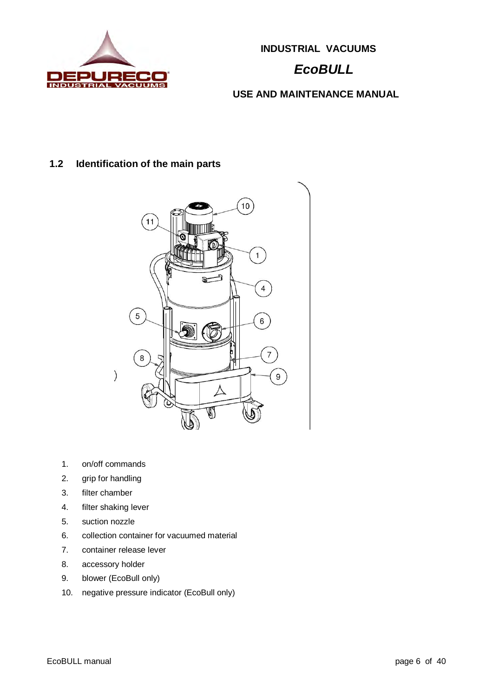

# *EcoBULL*

**USE AND MAINTENANCE MANUAL**

### **1.2 Identification of the main parts**



- 1. on/off commands
- 2. grip for handling
- 3. filter chamber
- 4. filter shaking lever
- 5. suction nozzle
- 6. collection container for vacuumed material
- 7. container release lever
- 8. accessory holder
- 9. blower (EcoBull only)
- 10. negative pressure indicator (EcoBull only)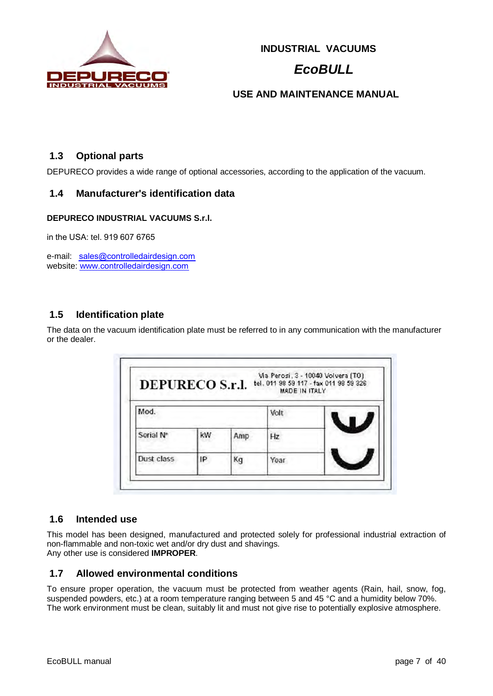

# *EcoBULL*

#### **USE AND MAINTENANCE MANUAL**

#### **1.3 Optional parts**

DEPURECO provides a wide range of optional accessories, according to the application of the vacuum.

#### **1.4 Manufacturer's identification data**

#### **DEPURECO INDUSTRIAL VACUUMS S.r.l.**

in the USA: tel. 919 607 6765

e-mail: sales@controlledairdesign.com website: www.controlledairdesign.com

#### **1.5 Identification plate**

The data on the vacuum identification plate must be referred to in any communication with the manufacturer or the dealer.

| <b>DEPURECO S.r.l.</b> |    |     | MADE IN ITALY | Via Perosi, 3 - 10040 Volvera (TO)<br>tel. 011 98 59 117 - fax 011 98 59 326 |
|------------------------|----|-----|---------------|------------------------------------------------------------------------------|
| Mod.                   |    |     | Volt          |                                                                              |
| Serial N°              | kW | Amp | Hz            |                                                                              |
| Dust class             | IP | Кq  | Year          |                                                                              |

#### **1.6 Intended use**

This model has been designed, manufactured and protected solely for professional industrial extraction of non-flammable and non-toxic wet and/or dry dust and shavings. Any other use is considered **IMPROPER**.

#### **1.7 Allowed environmental conditions**

To ensure proper operation, the vacuum must be protected from weather agents (Rain, hail, snow, fog, suspended powders, etc.) at a room temperature ranging between 5 and 45 °C and a humidity below 70%. The work environment must be clean, suitably lit and must not give rise to potentially explosive atmosphere.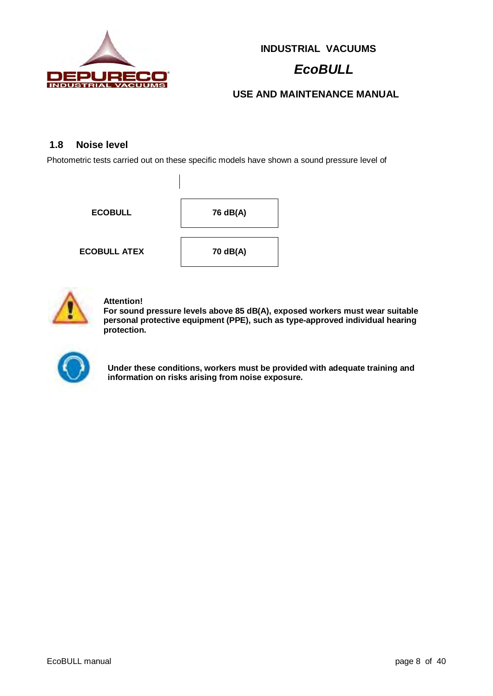

# *EcoBULL*

### **USE AND MAINTENANCE MANUAL**

#### **1.8 Noise level**

Photometric tests carried out on these specific models have shown a sound pressure level of

**ECOBULL 76 dB(A) ECOBULL ATEX 70 dB(A)** 



#### **Attention!**

**For sound pressure levels above 85 dB(A), exposed workers must wear suitable personal protective equipment (PPE), such as type-approved individual hearing protection.** 



**Under these conditions, workers must be provided with adequate training and information on risks arising from noise exposure.**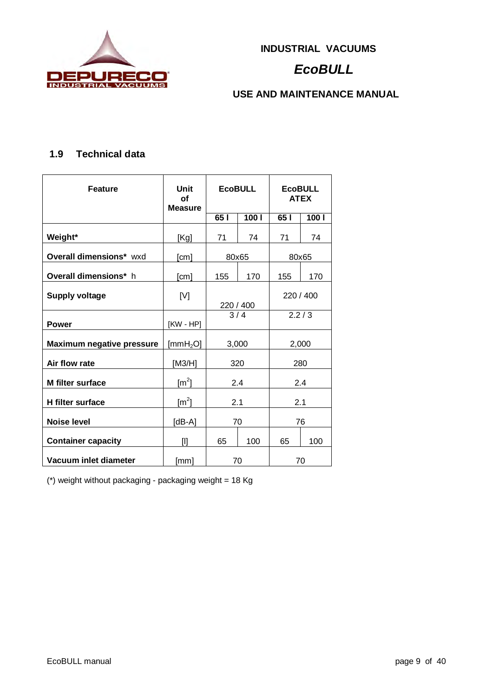

# *EcoBULL*

**USE AND MAINTENANCE MANUAL**

### **1.9 Technical data**

| <b>Feature</b>                   | Unit<br><b>EcoBULL</b><br>Οf<br><b>Measure</b> |            | <b>EcoBULL</b><br><b>ATEX</b> |           |       |  |
|----------------------------------|------------------------------------------------|------------|-------------------------------|-----------|-------|--|
|                                  |                                                | 651        | 1001                          | 65        | 100 l |  |
| Weight*                          | [Kg]                                           | 71         | 74                            | 71        | 74    |  |
| <b>Overall dimensions*</b> wxd   | [cm]                                           | 80x65      |                               | 80x65     |       |  |
| <b>Overall dimensions*</b> h     | [cm]                                           | 155        | 170                           | 155       | 170   |  |
| <b>Supply voltage</b>            | [V]                                            | 220 / 400  |                               | 220 / 400 |       |  |
| <b>Power</b>                     | $KW - HP$                                      | 3/4        |                               |           | 2.2/3 |  |
| <b>Maximum negative pressure</b> | [mm $H_2O$ ]                                   | 3,000      |                               |           | 2,000 |  |
| Air flow rate                    | [M3/H]                                         | 320<br>280 |                               |           |       |  |
| <b>M</b> filter surface          | $\text{[m}^2\text{]}$                          | 2.4<br>2.4 |                               |           |       |  |
| <b>H</b> filter surface          | $\lceil m^2 \rceil$                            | 2.1        |                               | 2.1       |       |  |
| Noise level                      | [dB-A]                                         | 70         |                               | 76        |       |  |
| <b>Container capacity</b>        | $[1]$                                          | 65         | 100                           | 65        | 100   |  |
| Vacuum inlet diameter            | [mm]                                           |            | 70                            |           | 70    |  |

(\*) weight without packaging - packaging weight = 18 Kg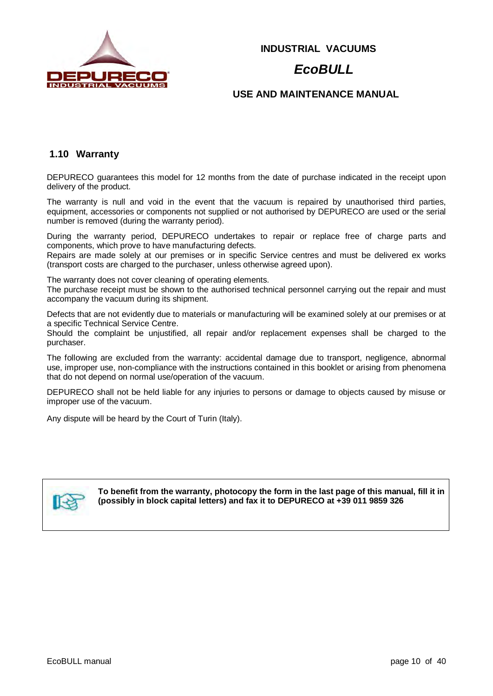

### *EcoBULL*

#### **USE AND MAINTENANCE MANUAL**

#### **1.10 Warranty**

DEPURECO guarantees this model for 12 months from the date of purchase indicated in the receipt upon delivery of the product.

The warranty is null and void in the event that the vacuum is repaired by unauthorised third parties, equipment, accessories or components not supplied or not authorised by DEPURECO are used or the serial number is removed (during the warranty period).

During the warranty period, DEPURECO undertakes to repair or replace free of charge parts and components, which prove to have manufacturing defects.

Repairs are made solely at our premises or in specific Service centres and must be delivered ex works (transport costs are charged to the purchaser, unless otherwise agreed upon).

The warranty does not cover cleaning of operating elements.

The purchase receipt must be shown to the authorised technical personnel carrying out the repair and must accompany the vacuum during its shipment.

Defects that are not evidently due to materials or manufacturing will be examined solely at our premises or at a specific Technical Service Centre.

Should the complaint be unjustified, all repair and/or replacement expenses shall be charged to the purchaser.

The following are excluded from the warranty: accidental damage due to transport, negligence, abnormal use, improper use, non-compliance with the instructions contained in this booklet or arising from phenomena that do not depend on normal use/operation of the vacuum.

DEPURECO shall not be held liable for any injuries to persons or damage to objects caused by misuse or improper use of the vacuum.

Any dispute will be heard by the Court of Turin (Italy).



**To benefit from the warranty, photocopy the form in the last page of this manual, fill it in (possibly in block capital letters) and fax it to DEPURECO at +39 011 9859 326**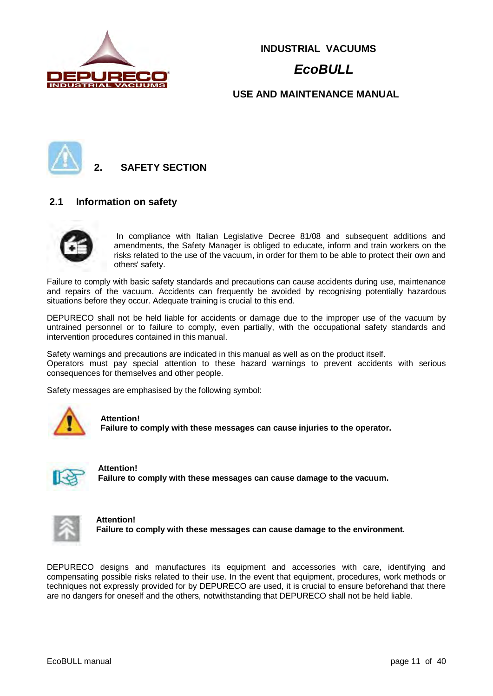

# *EcoBULL*

#### **USE AND MAINTENANCE MANUAL**



**2. SAFETY SECTION**

#### **2.1 Information on safety**

In compliance with Italian Legislative Decree 81/08 and subsequent additions and amendments, the Safety Manager is obliged to educate, inform and train workers on the risks related to the use of the vacuum, in order for them to be able to protect their own and others' safety.

Failure to comply with basic safety standards and precautions can cause accidents during use, maintenance and repairs of the vacuum. Accidents can frequently be avoided by recognising potentially hazardous situations before they occur. Adequate training is crucial to this end.

DEPURECO shall not be held liable for accidents or damage due to the improper use of the vacuum by untrained personnel or to failure to comply, even partially, with the occupational safety standards and intervention procedures contained in this manual.

Safety warnings and precautions are indicated in this manual as well as on the product itself. Operators must pay special attention to these hazard warnings to prevent accidents with serious consequences for themselves and other people.

Safety messages are emphasised by the following symbol:



#### **Attention!**

**Failure to comply with these messages can cause injuries to the operator.** 



**Attention! Failure to comply with these messages can cause damage to the vacuum.**



**Attention! Failure to comply with these messages can cause damage to the environment.** 

DEPURECO designs and manufactures its equipment and accessories with care, identifying and compensating possible risks related to their use. In the event that equipment, procedures, work methods or techniques not expressly provided for by DEPURECO are used, it is crucial to ensure beforehand that there are no dangers for oneself and the others, notwithstanding that DEPURECO shall not be held liable.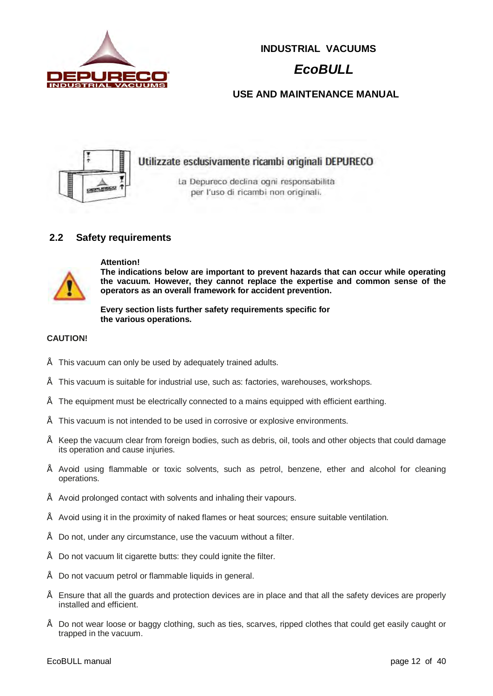

# *EcoBULL*

### **USE AND MAINTENANCE MANUAL**



#### **2.2 Safety requirements**



#### **Attention!**

**The indications below are important to prevent hazards that can occur while operating the vacuum. However, they cannot replace the expertise and common sense of the operators as an overall framework for accident prevention.** 

**Every section lists further safety requirements specific for the various operations.**

#### **CAUTION!**

- This vacuum can only be used by adequately trained adults.
- This vacuum is suitable for industrial use, such as: factories, warehouses, workshops.
- The equipment must be electrically connected to a mains equipped with efficient earthing.
- This vacuum is not intended to be used in corrosive or explosive environments.
- Keep the vacuum clear from foreign bodies, such as debris, oil, tools and other objects that could damage its operation and cause injuries.
- Avoid using flammable or toxic solvents, such as petrol, benzene, ether and alcohol for cleaning operations.
- Avoid prolonged contact with solvents and inhaling their vapours.
- Avoid using it in the proximity of naked flames or heat sources; ensure suitable ventilation.
- Do not, under any circumstance, use the vacuum without a filter.
- Do not vacuum lit cigarette butts: they could ignite the filter.
- Do not vacuum petrol or flammable liquids in general.
- Ensure that all the guards and protection devices are in place and that all the safety devices are properly installed and efficient.
- Do not wear loose or baggy clothing, such as ties, scarves, ripped clothes that could get easily caught or trapped in the vacuum.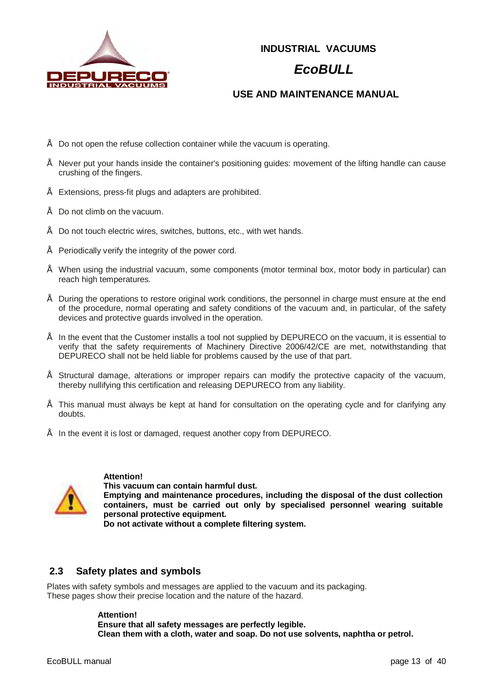

### *EcoBULL*

### **USE AND MAINTENANCE MANUAL**

- Do not open the refuse collection container while the vacuum is operating.
- Never put your hands inside the container's positioning guides: movement of the lifting handle can cause crushing of the fingers.
- Extensions, press-fit plugs and adapters are prohibited.
- Do not climb on the vacuum.
- Do not touch electric wires, switches, buttons, etc., with wet hands.
- Periodically verify the integrity of the power cord.
- When using the industrial vacuum, some components (motor terminal box, motor body in particular) can reach high temperatures.
- During the operations to restore original work conditions, the personnel in charge must ensure at the end of the procedure, normal operating and safety conditions of the vacuum and, in particular, of the safety devices and protective guards involved in the operation.
- In the event that the Customer installs a tool not supplied by DEPURECO on the vacuum, it is essential to verify that the safety requirements of Machinery Directive 2006/42/CE are met, notwithstanding that DEPURECO shall not be held liable for problems caused by the use of that part.
- Structural damage, alterations or improper repairs can modify the protective capacity of the vacuum, thereby nullifying this certification and releasing DEPURECO from any liability.
- This manual must always be kept at hand for consultation on the operating cycle and for clarifying any doubts.
- In the event it is lost or damaged, request another copy from DEPURECO.



**Attention!** 

**This vacuum can contain harmful dust. Emptying and maintenance procedures, including the disposal of the dust collection containers, must be carried out only by specialised personnel wearing suitable personal protective equipment.** 

**Do not activate without a complete filtering system.** 

#### **2.3 Safety plates and symbols**

Plates with safety symbols and messages are applied to the vacuum and its packaging. These pages show their precise location and the nature of the hazard.

#### **Attention!**

**Ensure that all safety messages are perfectly legible. Clean them with a cloth, water and soap. Do not use solvents, naphtha or petrol.**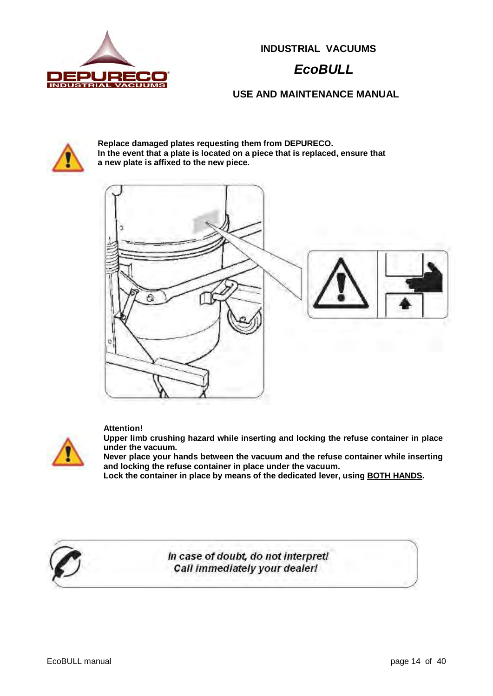

# *EcoBULL*

**USE AND MAINTENANCE MANUAL**



**Replace damaged plates requesting them from DEPURECO. In the event that a plate is located on a piece that is replaced, ensure that a new plate is affixed to the new piece.**



#### **Attention!**



**Upper limb crushing hazard while inserting and locking the refuse container in place under the vacuum.** 

**Never place your hands between the vacuum and the refuse container while inserting and locking the refuse container in place under the vacuum.** 

**Lock the container in place by means of the dedicated lever, using BOTH HANDS.** 



In case of doubt, do not interpret! Call immediately your dealer!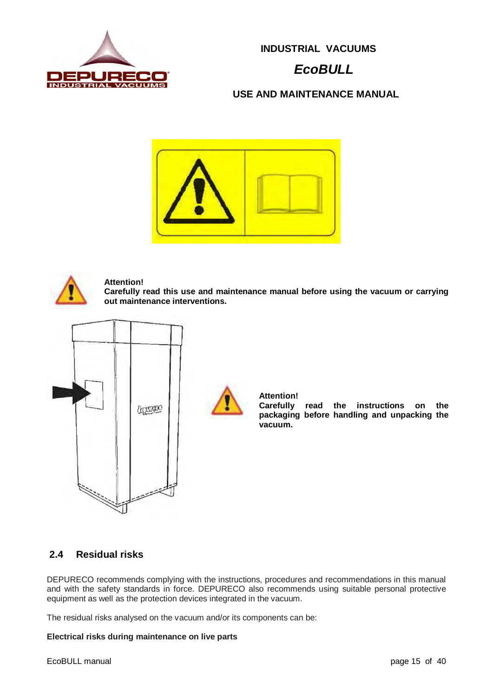

# *EcoBULL*

**USE AND MAINTENANCE MANUAL**





#### **Attention!**

**Carefully read this use and maintenance manual before using the vacuum or carrying out maintenance interventions.** 



#### **Attention!**

**Carefully read the instructions on the packaging before handling and unpacking the vacuum.** 

#### **2.4 Residual risks**

DEPURECO recommends complying with the instructions, procedures and recommendations in this manual and with the safety standards in force. DEPURECO also recommends using suitable personal protective equipment as well as the protection devices integrated in the vacuum.

The residual risks analysed on the vacuum and/or its components can be:

#### **Electrical risks during maintenance on live parts**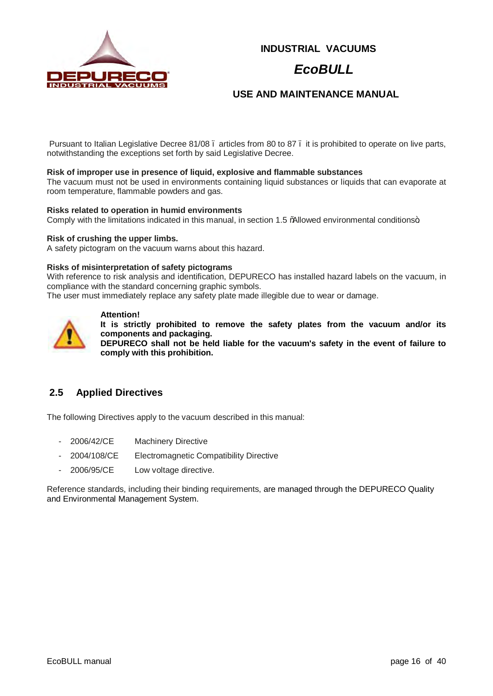

### *EcoBULL*

#### **USE AND MAINTENANCE MANUAL**

Pursuant to Italian Legislative Decree 81/08 . articles from 80 to 87 . it is prohibited to operate on live parts, notwithstanding the exceptions set forth by said Legislative Decree.

#### **Risk of improper use in presence of liquid, explosive and flammable substances**

The vacuum must not be used in environments containing liquid substances or liquids that can evaporate at room temperature, flammable powders and gas.

#### **Risks related to operation in humid environments**

Comply with the limitations indicated in this manual, in section 1.5 % allowed environmental conditions+

#### **Risk of crushing the upper limbs.**

A safety pictogram on the vacuum warns about this hazard.

#### **Risks of misinterpretation of safety pictograms**

With reference to risk analysis and identification, DEPURECO has installed hazard labels on the vacuum, in compliance with the standard concerning graphic symbols.

The user must immediately replace any safety plate made illegible due to wear or damage.



### **Attention!**

**It is strictly prohibited to remove the safety plates from the vacuum and/or its components and packaging.** 

**DEPURECO shall not be held liable for the vacuum's safety in the event of failure to comply with this prohibition.** 

### **2.5 Applied Directives**

The following Directives apply to the vacuum described in this manual:

- 2006/42/CE Machinery Directive
- 2004/108/CE Electromagnetic Compatibility Directive
- 2006/95/CE Low voltage directive.

Reference standards, including their binding requirements, are managed through the DEPURECO Quality and Environmental Management System.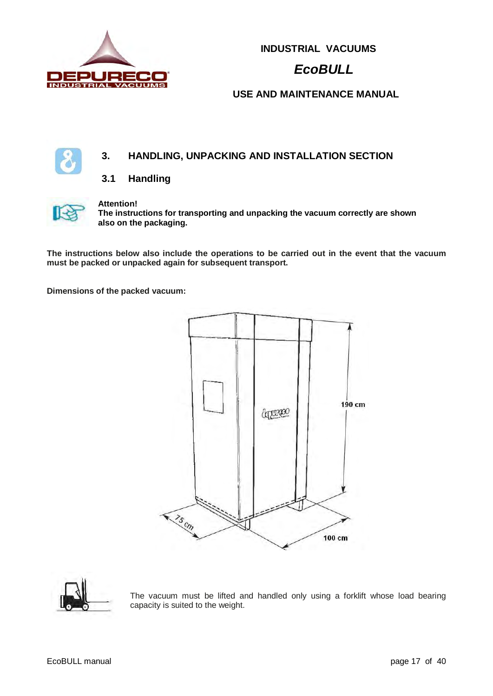

# *EcoBULL*

### **USE AND MAINTENANCE MANUAL**

### **3. HANDLING, UNPACKING AND INSTALLATION SECTION**

#### **3.1 Handling**



#### **Attention!**

**The instructions for transporting and unpacking the vacuum correctly are shown also on the packaging.** 

**The instructions below also include the operations to be carried out in the event that the vacuum must be packed or unpacked again for subsequent transport.** 

**Dimensions of the packed vacuum:** 





The vacuum must be lifted and handled only using a forklift whose load bearing capacity is suited to the weight.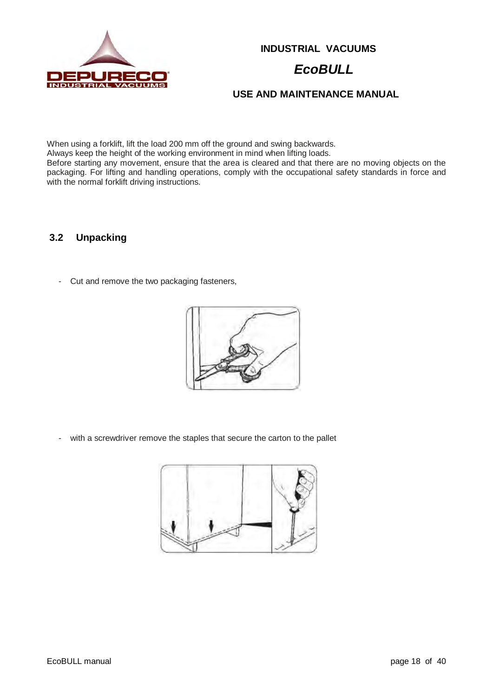

# *EcoBULL*

**USE AND MAINTENANCE MANUAL**

When using a forklift, lift the load 200 mm off the ground and swing backwards.

Always keep the height of the working environment in mind when lifting loads.

Before starting any movement, ensure that the area is cleared and that there are no moving objects on the packaging. For lifting and handling operations, comply with the occupational safety standards in force and with the normal forklift driving instructions.

### **3.2 Unpacking**

- Cut and remove the two packaging fasteners,



- with a screwdriver remove the staples that secure the carton to the pallet

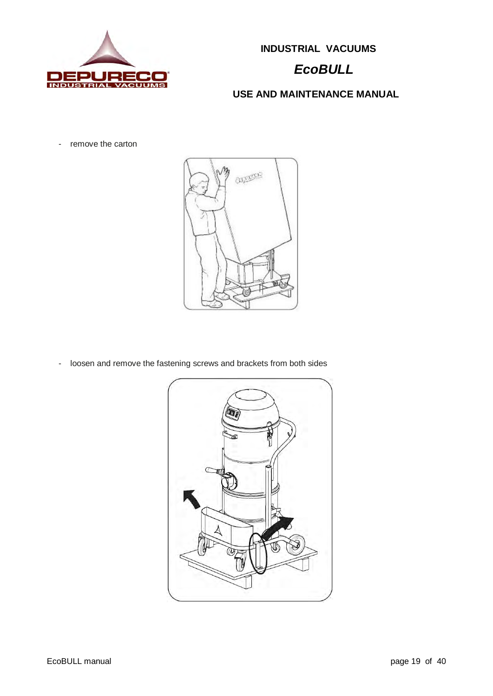

# *EcoBULL*

**USE AND MAINTENANCE MANUAL**

- remove the carton



- loosen and remove the fastening screws and brackets from both sides

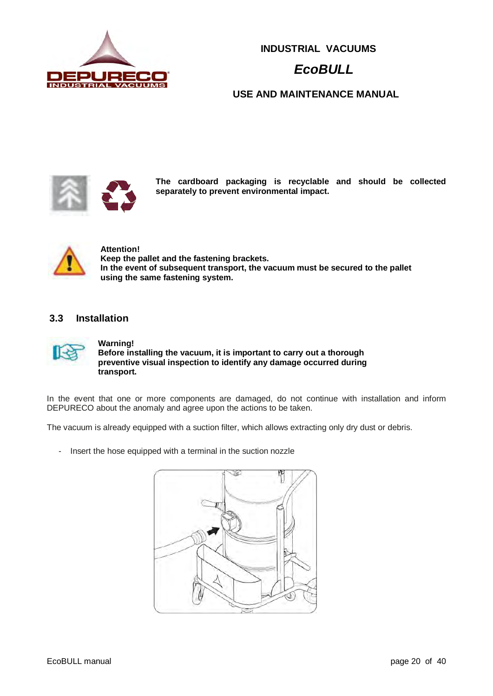

# *EcoBULL*

**USE AND MAINTENANCE MANUAL**



**The cardboard packaging is recyclable and should be collected separately to prevent environmental impact.** 



#### **Attention! Keep the pallet and the fastening brackets. In the event of subsequent transport, the vacuum must be secured to the pallet using the same fastening system.**

#### **3.3 Installation**



**Warning! Before installing the vacuum, it is important to carry out a thorough preventive visual inspection to identify any damage occurred during transport.** 

In the event that one or more components are damaged, do not continue with installation and inform DEPURECO about the anomaly and agree upon the actions to be taken.

The vacuum is already equipped with a suction filter, which allows extracting only dry dust or debris.

- Insert the hose equipped with a terminal in the suction nozzle

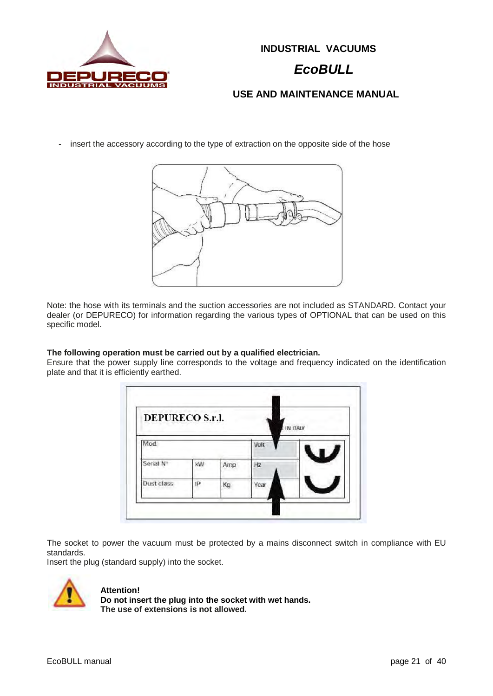

### *EcoBULL*

**USE AND MAINTENANCE MANUAL**

- insert the accessory according to the type of extraction on the opposite side of the hose



Note: the hose with its terminals and the suction accessories are not included as STANDARD. Contact your dealer (or DEPURECO) for information regarding the various types of OPTIONAL that can be used on this specific model.

#### **The following operation must be carried out by a qualified electrician.**

Ensure that the power supply line corresponds to the voltage and frequency indicated on the identification plate and that it is efficiently earthed.

| <b>DEPURECO S.r.l.</b> |    |     |      | IN ITALY |
|------------------------|----|-----|------|----------|
| Mod.                   |    |     | Volt |          |
| Serial N               | kW | Amp | Hz   |          |
| Dust class             | IP | Kg  | Year |          |

The socket to power the vacuum must be protected by a mains disconnect switch in compliance with EU standards.

Insert the plug (standard supply) into the socket.



#### **Attention!**

**Do not insert the plug into the socket with wet hands. The use of extensions is not allowed.**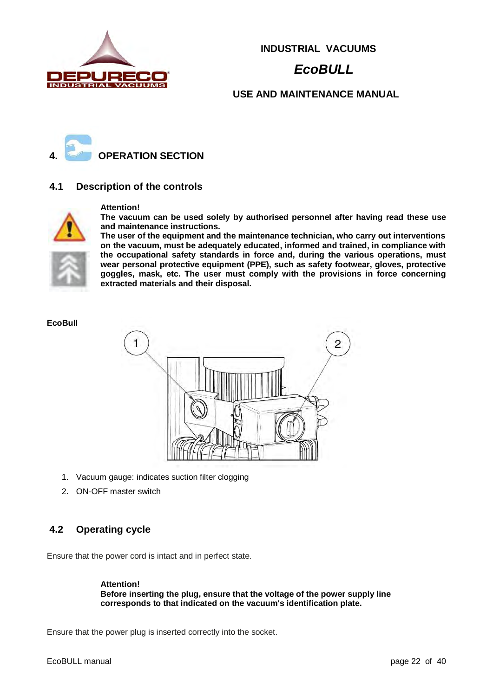

# *EcoBULL*

#### **USE AND MAINTENANCE MANUAL**



#### **4.1 Description of the controls**



#### **Attention!**

**The vacuum can be used solely by authorised personnel after having read these use and maintenance instructions.** 

**The user of the equipment and the maintenance technician, who carry out interventions on the vacuum, must be adequately educated, informed and trained, in compliance with the occupational safety standards in force and, during the various operations, must wear personal protective equipment (PPE), such as safety footwear, gloves, protective goggles, mask, etc. The user must comply with the provisions in force concerning extracted materials and their disposal.** 

#### **EcoBull**



- 1. Vacuum gauge: indicates suction filter clogging
- 2. ON-OFF master switch

#### **4.2 Operating cycle**

Ensure that the power cord is intact and in perfect state.

**Attention! Before inserting the plug, ensure that the voltage of the power supply line corresponds to that indicated on the vacuum's identification plate.** 

Ensure that the power plug is inserted correctly into the socket.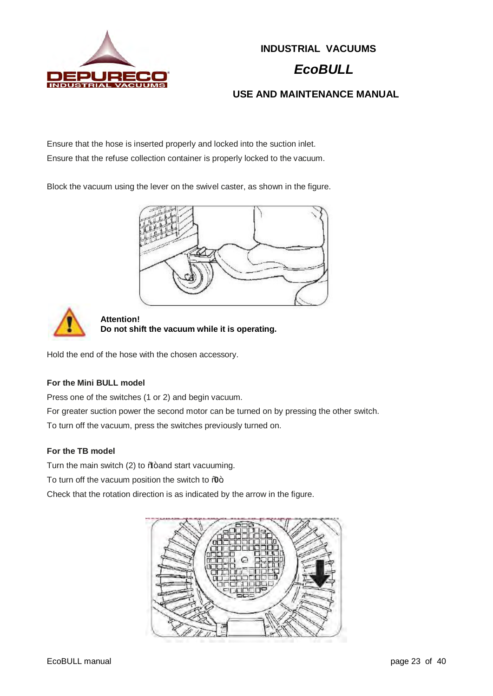

# *EcoBULL*

**USE AND MAINTENANCE MANUAL**

Ensure that the hose is inserted properly and locked into the suction inlet. Ensure that the refuse collection container is properly locked to the vacuum.

Block the vacuum using the lever on the swivel caster, as shown in the figure.





**Attention! Do not shift the vacuum while it is operating.**

Hold the end of the hose with the chosen accessory.

### **For the Mini BULL model**

Press one of the switches (1 or 2) and begin vacuum.

For greater suction power the second motor can be turned on by pressing the other switch.

To turn off the vacuum, press the switches previously turned on.

#### **For the TB model**

Turn the main switch (2) to  $\mathcal{U}$  and start vacuuming.

To turn off the vacuum position the switch to  $%$ .

Check that the rotation direction is as indicated by the arrow in the figure.

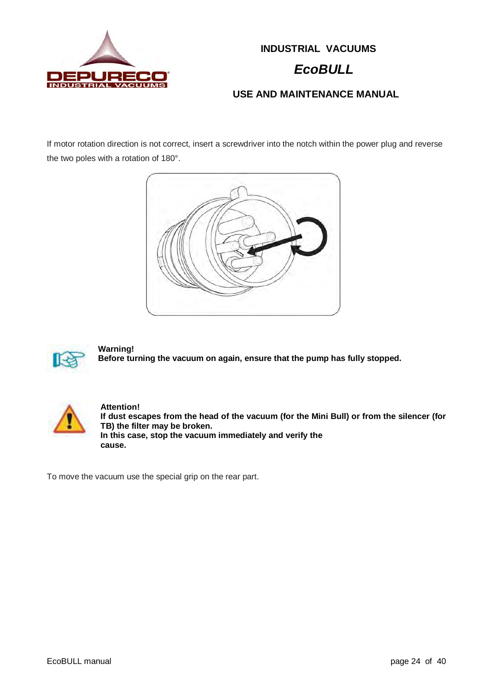

### *EcoBULL*

### **USE AND MAINTENANCE MANUAL**

If motor rotation direction is not correct, insert a screwdriver into the notch within the power plug and reverse the two poles with a rotation of 180°.





**Warning! Before turning the vacuum on again, ensure that the pump has fully stopped.** 



**Attention! If dust escapes from the head of the vacuum (for the Mini Bull) or from the silencer (for TB) the filter may be broken. In this case, stop the vacuum immediately and verify the cause.** 

To move the vacuum use the special grip on the rear part.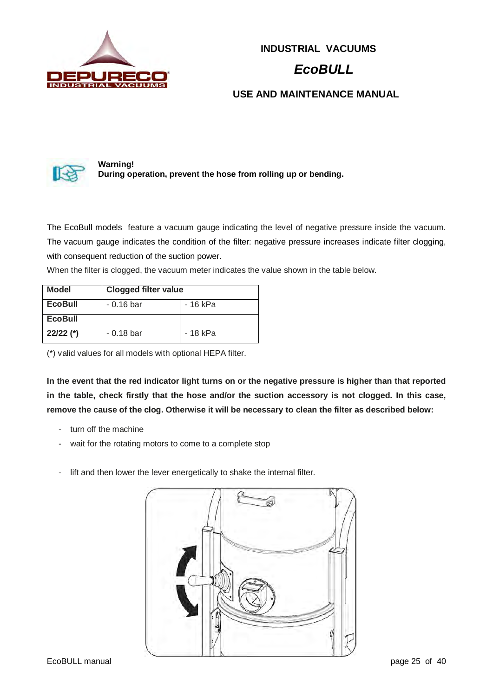

# *EcoBULL*

### **USE AND MAINTENANCE MANUAL**



**Warning! During operation, prevent the hose from rolling up or bending.** 

The EcoBull models feature a vacuum gauge indicating the level of negative pressure inside the vacuum. The vacuum gauge indicates the condition of the filter: negative pressure increases indicate filter clogging, with consequent reduction of the suction power.

When the filter is clogged, the vacuum meter indicates the value shown in the table below.

| Model          | <b>Clogged filter value</b> |          |  |  |
|----------------|-----------------------------|----------|--|--|
| <b>EcoBull</b> | $-0.16$ bar                 | - 16 kPa |  |  |
| <b>EcoBull</b> |                             |          |  |  |
| $22/22$ (*)    | $-0.18$ bar                 | - 18 kPa |  |  |

(\*) valid values for all models with optional HEPA filter.

**In the event that the red indicator light turns on or the negative pressure is higher than that reported in the table, check firstly that the hose and/or the suction accessory is not clogged. In this case, remove the cause of the clog. Otherwise it will be necessary to clean the filter as described below:** 

- turn off the machine
- wait for the rotating motors to come to a complete stop
- lift and then lower the lever energetically to shake the internal filter.

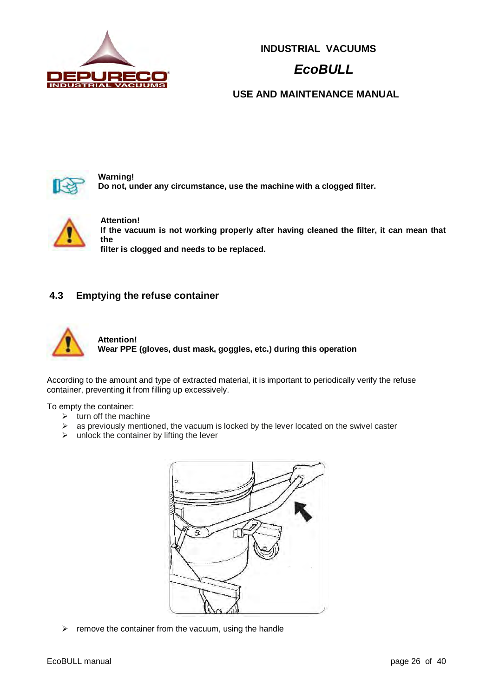

# *EcoBULL*

### **USE AND MAINTENANCE MANUAL**



**Warning! Do not, under any circumstance, use the machine with a clogged filter.** 



**Attention! If the vacuum is not working properly after having cleaned the filter, it can mean that the filter is clogged and needs to be replaced.** 

#### **4.3 Emptying the refuse container**



**Attention! Wear PPE (gloves, dust mask, goggles, etc.) during this operation** 

According to the amount and type of extracted material, it is important to periodically verify the refuse container, preventing it from filling up excessively.

#### To empty the container:

- $\triangleright$  turn off the machine
- $\triangleright$  as previously mentioned, the vacuum is locked by the lever located on the swivel caster
- $\triangleright$  unlock the container by lifting the lever



 $\triangleright$  remove the container from the vacuum, using the handle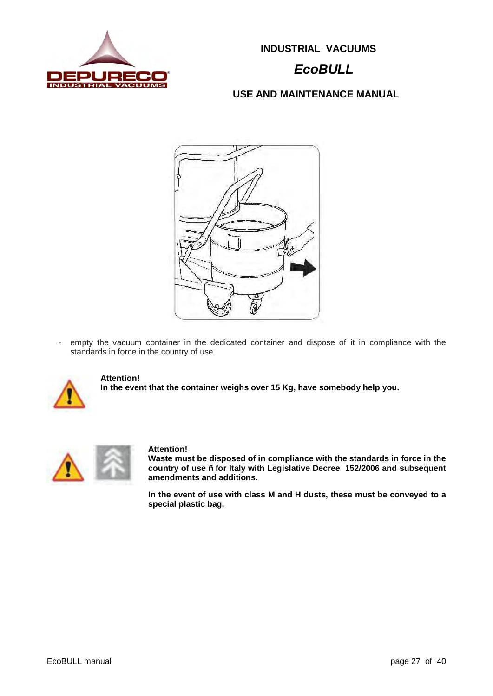

# *EcoBULL*

### **USE AND MAINTENANCE MANUAL**



- empty the vacuum container in the dedicated container and dispose of it in compliance with the standards in force in the country of use



#### **Attention!**

**In the event that the container weighs over 15 Kg, have somebody help you.** 



#### **Attention!**

**Waste must be disposed of in compliance with the standards in force in the country of use – for Italy with Legislative Decree 152/2006 and subsequent amendments and additions.** 

**In the event of use with class M and H dusts, these must be conveyed to a special plastic bag.**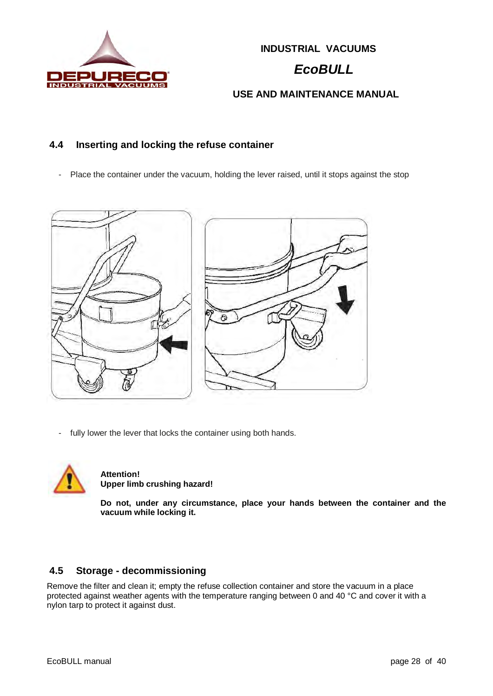

# *EcoBULL*

### **USE AND MAINTENANCE MANUAL**

#### **4.4 Inserting and locking the refuse container**

- Place the container under the vacuum, holding the lever raised, until it stops against the stop



fully lower the lever that locks the container using both hands.



**Attention! Upper limb crushing hazard!** 

**Do not, under any circumstance, place your hands between the container and the vacuum while locking it.** 

### **4.5 Storage - decommissioning**

Remove the filter and clean it; empty the refuse collection container and store the vacuum in a place protected against weather agents with the temperature ranging between 0 and 40 °C and cover it with a nylon tarp to protect it against dust.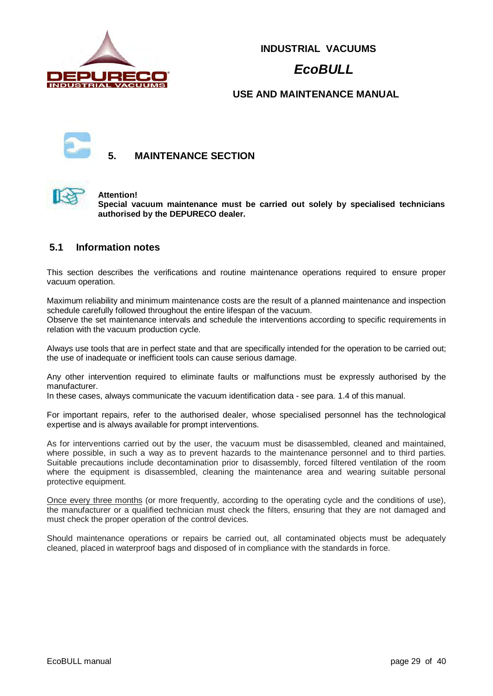

# *EcoBULL*

#### **USE AND MAINTENANCE MANUAL**



### **5. MAINTENANCE SECTION**



#### **Attention!**

**Special vacuum maintenance must be carried out solely by specialised technicians authorised by the DEPURECO dealer.** 

#### **5.1 Information notes**

This section describes the verifications and routine maintenance operations required to ensure proper vacuum operation.

Maximum reliability and minimum maintenance costs are the result of a planned maintenance and inspection schedule carefully followed throughout the entire lifespan of the vacuum.

Observe the set maintenance intervals and schedule the interventions according to specific requirements in relation with the vacuum production cycle.

Always use tools that are in perfect state and that are specifically intended for the operation to be carried out; the use of inadequate or inefficient tools can cause serious damage.

Any other intervention required to eliminate faults or malfunctions must be expressly authorised by the manufacturer.

In these cases, always communicate the vacuum identification data - see para. 1.4 of this manual.

For important repairs, refer to the authorised dealer, whose specialised personnel has the technological expertise and is always available for prompt interventions.

As for interventions carried out by the user, the vacuum must be disassembled, cleaned and maintained, where possible, in such a way as to prevent hazards to the maintenance personnel and to third parties. Suitable precautions include decontamination prior to disassembly, forced filtered ventilation of the room where the equipment is disassembled, cleaning the maintenance area and wearing suitable personal protective equipment.

Once every three months (or more frequently, according to the operating cycle and the conditions of use), the manufacturer or a qualified technician must check the filters, ensuring that they are not damaged and must check the proper operation of the control devices.

Should maintenance operations or repairs be carried out, all contaminated objects must be adequately cleaned, placed in waterproof bags and disposed of in compliance with the standards in force.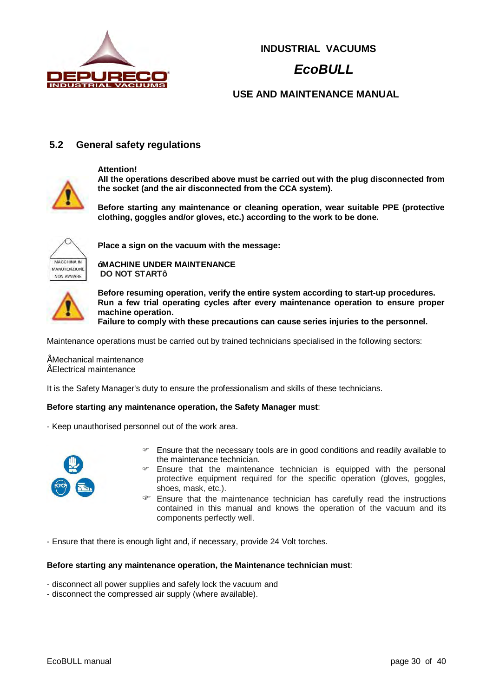

# *EcoBULL*

### **USE AND MAINTENANCE MANUAL**

#### **5.2 General safety regulations**

**Attention!**



**All the operations described above must be carried out with the plug disconnected from the socket (and the air disconnected from the CCA system).** 

**Before starting any maintenance or cleaning operation, wear suitable PPE (protective clothing, goggles and/or gloves, etc.) according to the work to be done.** 



**Place a sign on the vacuum with the message:** 

**IMACHINE UNDER MAINTENANCE DO NOT START"**



**Before resuming operation, verify the entire system according to start-up procedures. Run a few trial operating cycles after every maintenance operation to ensure proper machine operation.** 

**Failure to comply with these precautions can cause series injuries to the personnel.**

Maintenance operations must be carried out by trained technicians specialised in the following sectors:

• Mechanical maintenance

• Electrical maintenance

It is the Safety Manager's duty to ensure the professionalism and skills of these technicians.

#### **Before starting any maintenance operation, the Safety Manager must**:

- Keep unauthorised personnel out of the work area.



- Ensure that the necessary tools are in good conditions and readily available to the maintenance technician.
- $\blacktriangleright$  Ensure that the maintenance technician is equipped with the personal protective equipment required for the specific operation (gloves, goggles, shoes, mask, etc.).
- $\mathcal F$  Ensure that the maintenance technician has carefully read the instructions contained in this manual and knows the operation of the vacuum and its components perfectly well.

- Ensure that there is enough light and, if necessary, provide 24 Volt torches.

#### **Before starting any maintenance operation, the Maintenance technician must**:

- disconnect all power supplies and safely lock the vacuum and
- disconnect the compressed air supply (where available).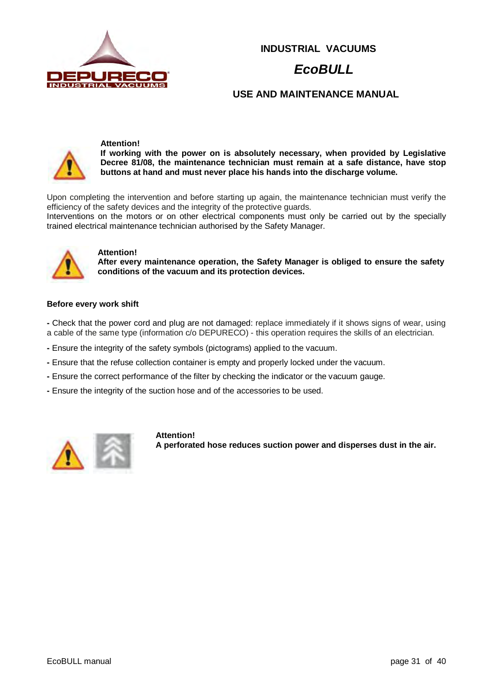

### *EcoBULL*

**USE AND MAINTENANCE MANUAL**



#### **Attention!**

**If working with the power on is absolutely necessary, when provided by Legislative Decree 81/08, the maintenance technician must remain at a safe distance, have stop buttons at hand and must never place his hands into the discharge volume.**

Upon completing the intervention and before starting up again, the maintenance technician must verify the efficiency of the safety devices and the integrity of the protective guards.

Interventions on the motors or on other electrical components must only be carried out by the specially trained electrical maintenance technician authorised by the Safety Manager.



#### **Attention!**

**After every maintenance operation, the Safety Manager is obliged to ensure the safety conditions of the vacuum and its protection devices.**

#### **Before every work shift**

**-** Check that the power cord and plug are not damaged: replace immediately if it shows signs of wear, using a cable of the same type (information c/o DEPURECO) - this operation requires the skills of an electrician.

- **-** Ensure the integrity of the safety symbols (pictograms) applied to the vacuum.
- **-** Ensure that the refuse collection container is empty and properly locked under the vacuum.
- **-** Ensure the correct performance of the filter by checking the indicator or the vacuum gauge.
- **-** Ensure the integrity of the suction hose and of the accessories to be used.



**Attention! A perforated hose reduces suction power and disperses dust in the air.**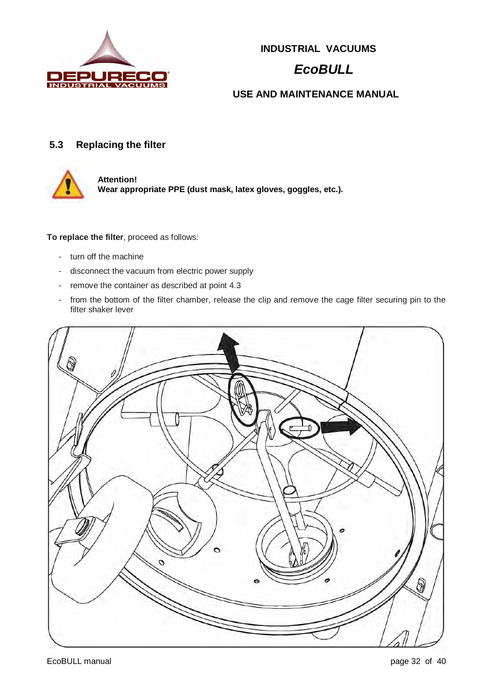

# *EcoBULL*

### **USE AND MAINTENANCE MANUAL**

### **5.3 Replacing the filter**



**Attention! Wear appropriate PPE (dust mask, latex gloves, goggles, etc.).** 

**To replace the filter**, proceed as follows:

- turn off the machine
- disconnect the vacuum from electric power supply
- remove the container as described at point 4.3
- from the bottom of the filter chamber, release the clip and remove the cage filter securing pin to the filter shaker lever

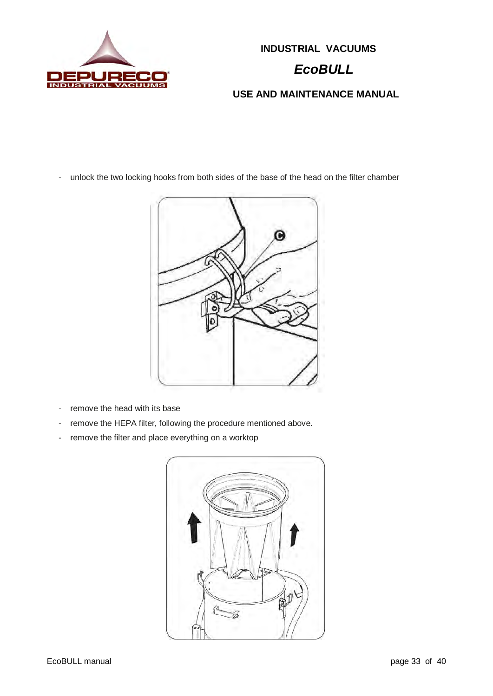

# **INDUSTRIAL VACUUMS**  *EcoBULL*

### **USE AND MAINTENANCE MANUAL**

- unlock the two locking hooks from both sides of the base of the head on the filter chamber



- remove the head with its base
- remove the HEPA filter, following the procedure mentioned above.
- remove the filter and place everything on a worktop

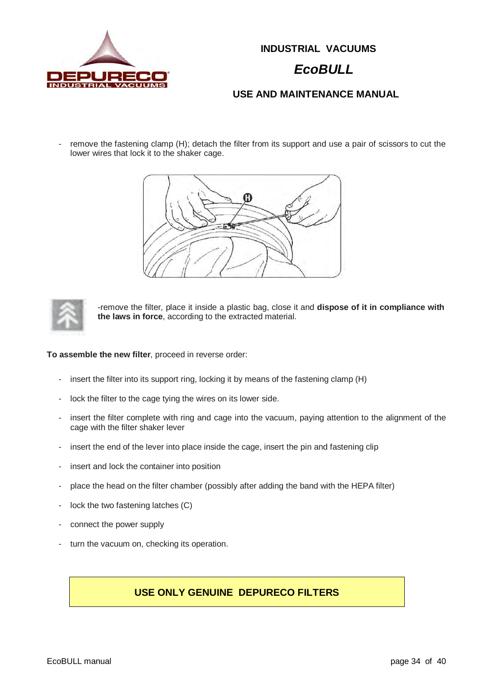

### *EcoBULL*

### **USE AND MAINTENANCE MANUAL**

remove the fastening clamp (H); detach the filter from its support and use a pair of scissors to cut the lower wires that lock it to the shaker cage.



-remove the filter, place it inside a plastic bag, close it and **dispose of it in compliance with the laws in force**, according to the extracted material.

**To assemble the new filter**, proceed in reverse order:

- insert the filter into its support ring, locking it by means of the fastening clamp (H)
- lock the filter to the cage tying the wires on its lower side.
- insert the filter complete with ring and cage into the vacuum, paying attention to the alignment of the cage with the filter shaker lever
- insert the end of the lever into place inside the cage, insert the pin and fastening clip
- insert and lock the container into position
- place the head on the filter chamber (possibly after adding the band with the HEPA filter)
- lock the two fastening latches (C)
- connect the power supply
- turn the vacuum on, checking its operation.

#### **USE ONLY GENUINE DEPURECO FILTERS**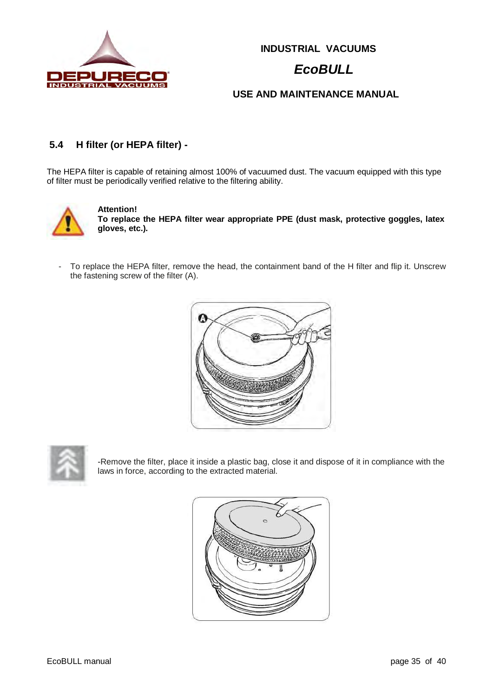

# *EcoBULL*

### **USE AND MAINTENANCE MANUAL**

### **5.4 H filter (or HEPA filter) -**

The HEPA filter is capable of retaining almost 100% of vacuumed dust. The vacuum equipped with this type of filter must be periodically verified relative to the filtering ability.



**Attention!** 

**To replace the HEPA filter wear appropriate PPE (dust mask, protective goggles, latex gloves, etc.).** 

To replace the HEPA filter, remove the head, the containment band of the H filter and flip it. Unscrew the fastening screw of the filter (A).



-Remove the filter, place it inside a plastic bag, close it and dispose of it in compliance with the laws in force, according to the extracted material.

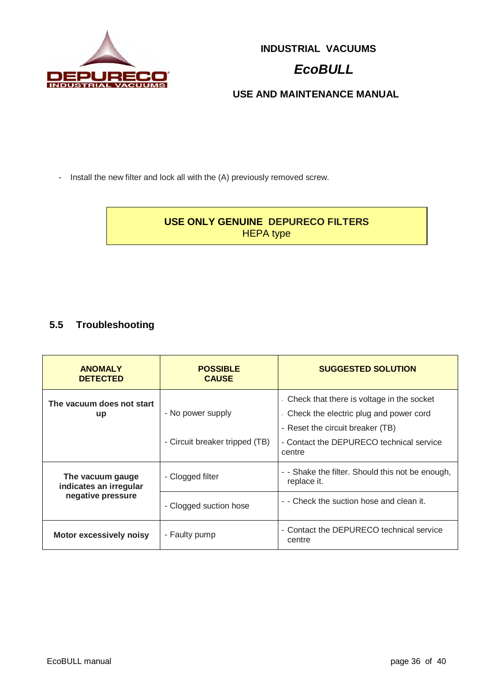

# *EcoBULL*

**USE AND MAINTENANCE MANUAL**

- Install the new filter and lock all with the (A) previously removed screw.

### **USE ONLY GENUINE DEPURECO FILTERS** HEPA type

### **5.5 Troubleshooting**

| <b>ANOMALY</b><br><b>DETECTED</b>          | <b>POSSIBLE</b><br><b>CAUSE</b> | <b>SUGGESTED SOLUTION</b>                                                               |
|--------------------------------------------|---------------------------------|-----------------------------------------------------------------------------------------|
| The vacuum does not start<br>up            | - No power supply               | - Check that there is voltage in the socket<br>- Check the electric plug and power cord |
|                                            |                                 | - Reset the circuit breaker (TB)                                                        |
|                                            | - Circuit breaker tripped (TB)  | - Contact the DEPURECO technical service<br>centre                                      |
| The vacuum gauge<br>indicates an irregular | - Clogged filter                | - - Shake the filter. Should this not be enough,<br>replace it.                         |
| negative pressure                          | - Clogged suction hose          | - - Check the suction hose and clean it.                                                |
| <b>Motor excessively noisy</b>             | - Faulty pump                   | - Contact the DEPURECO technical service<br>centre                                      |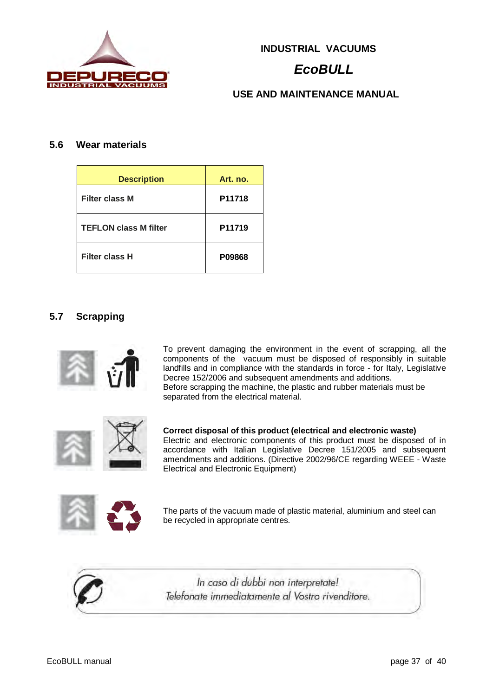

# *EcoBULL*

### **USE AND MAINTENANCE MANUAL**

#### **5.6 Wear materials**

| <b>Description</b>           | Art. no. |
|------------------------------|----------|
| <b>Filter class M</b>        | P11718   |
| <b>TEFLON class M filter</b> | P11719   |
| <b>Filter class H</b>        | P09868   |

#### **5.7 Scrapping**



To prevent damaging the environment in the event of scrapping, all the components of the vacuum must be disposed of responsibly in suitable landfills and in compliance with the standards in force - for Italy, Legislative Decree 152/2006 and subsequent amendments and additions. Before scrapping the machine, the plastic and rubber materials must be separated from the electrical material.

**Correct disposal of this product (electrical and electronic waste)**  Electric and electronic components of this product must be disposed of in accordance with Italian Legislative Decree 151/2005 and subsequent amendments and additions. (Directive 2002/96/CE regarding WEEE - Waste Electrical and Electronic Equipment)



The parts of the vacuum made of plastic material, aluminium and steel can be recycled in appropriate centres.



In caso di dubbi non interpretate! Telefonate immediatamente al Vostro rivenditore.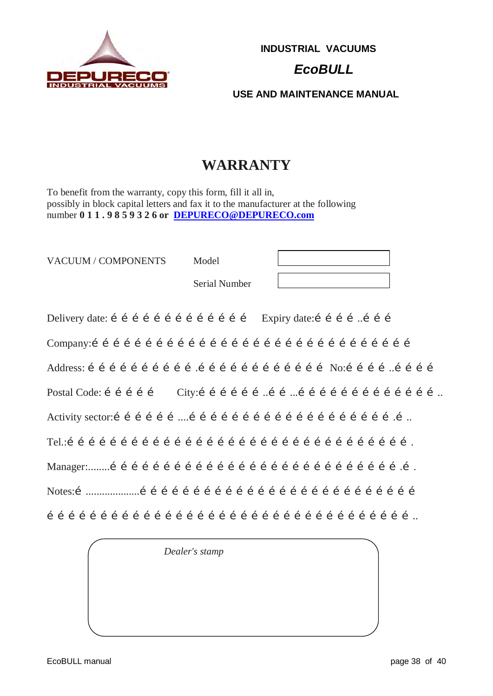

# *EcoBULL*

**USE AND MAINTENANCE MANUAL**

# **WARRANTY**

To benefit from the warranty, copy this form, fill it all in, possibly in block capital letters and fax it to the manufacturer at the following number **0 1 1 . 9 8 5 9 3 2 6 or DEPURECO@DEPURECO.com**

| VACUUM / COMPONENTS | Model         |  |
|---------------------|---------------|--|
|                     | Serial Number |  |

Delivery date: i i i i i i i i i i i i i i i Expiry date: i i i ... i i i Company:……………………………………………………………………………… Address: ………………………….……………………………… No:…………..………… Postal Code: …………… City:………………..……...………………………………….. Activity sector:………………....………………………………………………….….. Tel.:……………………………………………………………………………………. Manager:........……………………………………………………………………….…. Notes:…....................…………………………………………………………………… …………………………………………………………………………………………..

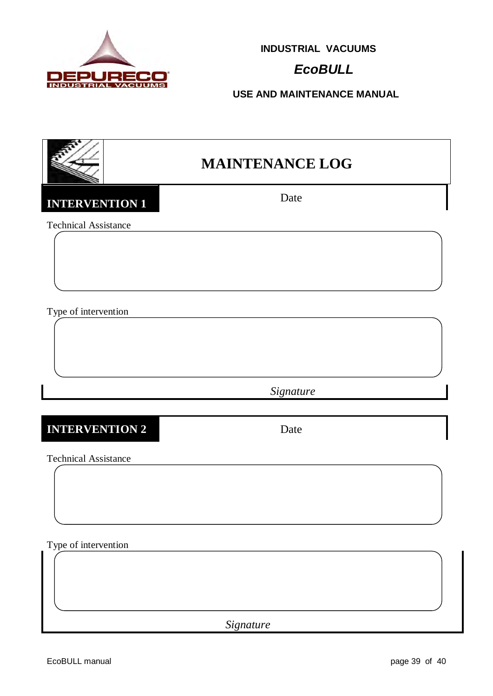

# *EcoBULL*

**USE AND MAINTENANCE MANUAL**

# **MAINTENANCE LOG**

**INTERVENTION 1** Date

Technical Assistance

Type of intervention

 *Signature*

### **INTERVENTION 2** Date

Technical Assistance

Type of intervention

*Signature*